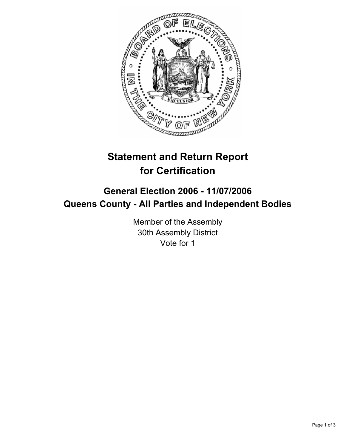

## **Statement and Return Report for Certification**

## **General Election 2006 - 11/07/2006 Queens County - All Parties and Independent Bodies**

Member of the Assembly 30th Assembly District Vote for 1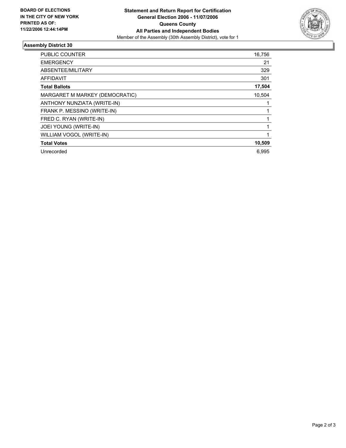

## **Assembly District 30**

| <b>PUBLIC COUNTER</b>          | 16,756 |
|--------------------------------|--------|
| <b>EMERGENCY</b>               | 21     |
| ABSENTEE/MILITARY              | 329    |
| AFFIDAVIT                      | 301    |
| <b>Total Ballots</b>           | 17,504 |
| MARGARET M MARKEY (DEMOCRATIC) | 10,504 |
| ANTHONY NUNZIATA (WRITE-IN)    |        |
| FRANK P. MESSINO (WRITE-IN)    |        |
| FRED C. RYAN (WRITE-IN)        |        |
| JOEI YOUNG (WRITE-IN)          |        |
| WILLIAM VOGOL (WRITE-IN)       |        |
| <b>Total Votes</b>             | 10,509 |
| Unrecorded                     | 6.995  |